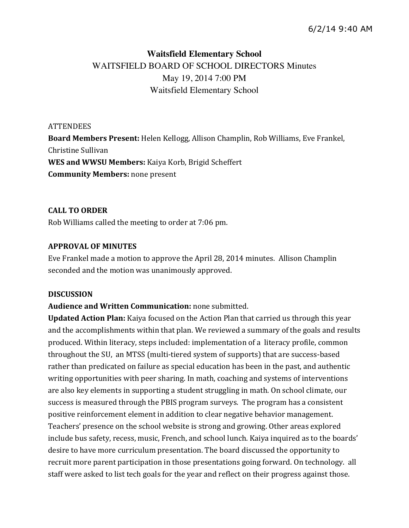# **Waitsfield Elementary School** WAITSFIELD BOARD OF SCHOOL DIRECTORS Minutes May 19, 2014 7:00 PM Waitsfield Elementary School

**ATTENDEES Board Members Present:** Helen Kellogg, Allison Champlin, Rob Williams, Eve Frankel, Christine Sullivan WES and WWSU Members: Kaiya Korb, Brigid Scheffert **Community Members: none present** 

# **CALL&TO&ORDER**

Rob Williams called the meeting to order at 7:06 pm.

# **APPROVAL OF MINUTES**

Eve Frankel made a motion to approve the April 28, 2014 minutes. Allison Champlin seconded and the motion was unanimously approved.

### **DISCUSSION**

**Audience and Written Communication:** none submitted.

**Updated Action Plan:** Kaiya focused on the Action Plan that carried us through this year and the accomplishments within that plan. We reviewed a summary of the goals and results produced. Within literacy, steps included: implementation of a literacy profile, common throughout the SU, an MTSS (multi-tiered system of supports) that are success-based rather than predicated on failure as special education has been in the past, and authentic writing opportunities with peer sharing. In math, coaching and systems of interventions are also key elements in supporting a student struggling in math. On school climate, our success is measured through the PBIS program surveys. The program has a consistent positive reinforcement element in addition to clear negative behavior management. Teachers' presence on the school website is strong and growing. Other areas explored include bus safety, recess, music, French, and school lunch. Kaiya inquired as to the boards' desire to have more curriculum presentation. The board discussed the opportunity to recruit more parent participation in those presentations going forward. On technology. all staff were asked to list tech goals for the year and reflect on their progress against those.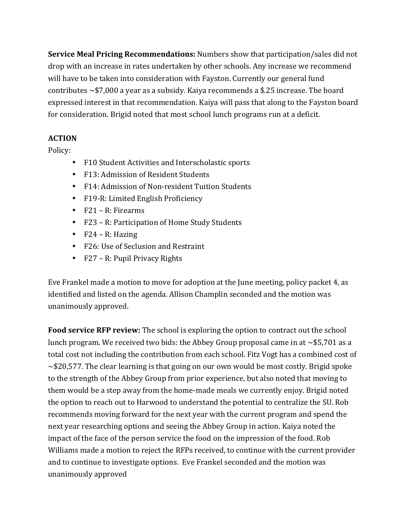**Service Meal Pricing Recommendations:** Numbers show that participation/sales did not drop with an increase in rates undertaken by other schools. Any increase we recommend will have to be taken into consideration with Fayston. Currently our general fund contributes  $~57,000$  a year as a subsidy. Kaiya recommends a \$.25 increase. The board expressed interest in that recommendation. Kaiya will pass that along to the Fayston board for consideration. Brigid noted that most school lunch programs run at a deficit.

# **ACTION**

Policy:

- F10 Student Activities and Interscholastic sports
- F13: Admission of Resident Students
- F14: Admission of Non-resident Tuition Students
- F19-R: Limited English Proficiency
- $F21 R$ : Firearms
- F23 R: Participation of Home Study Students
- $F24 R$ : Hazing
- F26: Use of Seclusion and Restraint
- $F27 R$ : Pupil Privacy Rights

Eve Frankel made a motion to move for adoption at the June meeting, policy packet 4, as identified and listed on the agenda. Allison Champlin seconded and the motion was unanimously approved.

**Food service RFP review:** The school is exploring the option to contract out the school lunch program. We received two bids: the Abbey Group proposal came in at  $\sim$ \$5,701 as a total cost not including the contribution from each school. Fitz Vogt has a combined cost of  $\sim$ \$20,577. The clear learning is that going on our own would be most costly. Brigid spoke to the strength of the Abbey Group from prior experience, but also noted that moving to them would be a step away from the home-made meals we currently enjoy. Brigid noted the option to reach out to Harwood to understand the potential to centralize the SU. Rob recommends moving forward for the next year with the current program and spend the next year researching options and seeing the Abbey Group in action. Kaiya noted the impact of the face of the person service the food on the impression of the food. Rob Williams made a motion to reject the RFPs received, to continue with the current provider and to continue to investigate options. Eve Frankel seconded and the motion was unanimously!approved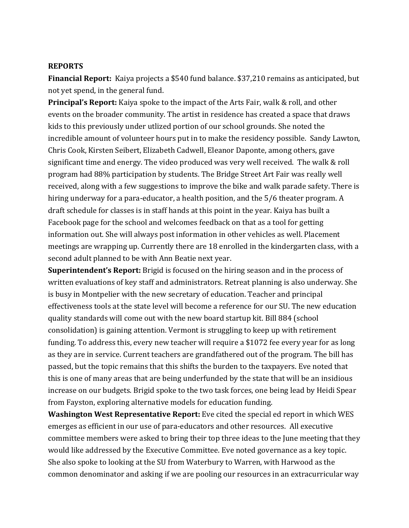### **REPORTS**

**Financial Report:** Kaiya projects a \$540 fund balance. \$37,210 remains as anticipated, but not yet spend, in the general fund.

**Principal's Report:** Kaiya spoke to the impact of the Arts Fair, walk & roll, and other events on the broader community. The artist in residence has created a space that draws kids to this previously under utlized portion of our school grounds. She noted the incredible amount of volunteer hours put in to make the residency possible. Sandy Lawton, Chris Cook, Kirsten Seibert, Elizabeth Cadwell, Eleanor Daponte, among others, gave significant time and energy. The video produced was very well received. The walk & roll program had 88% participation by students. The Bridge Street Art Fair was really well received, along with a few suggestions to improve the bike and walk parade safety. There is hiring underway for a para-educator, a health position, and the 5/6 theater program. A draft schedule for classes is in staff hands at this point in the year. Kaiya has built a Facebook page for the school and welcomes feedback on that as a tool for getting information out. She will always post information in other vehicles as well. Placement meetings are wrapping up. Currently there are 18 enrolled in the kindergarten class, with a second adult planned to be with Ann Beatie next year.

**Superintendent's Report:** Brigid is focused on the hiring season and in the process of written evaluations of key staff and administrators. Retreat planning is also underway. She is busy in Montpelier with the new secretary of education. Teacher and principal effectiveness tools at the state level will become a reference for our SU. The new education quality standards will come out with the new board startup kit. Bill 884 (school consolidation) is gaining attention. Vermont is struggling to keep up with retirement funding. To address this, every new teacher will require a \$1072 fee every year for as long as they are in service. Current teachers are grandfathered out of the program. The bill has passed, but the topic remains that this shifts the burden to the taxpayers. Eve noted that this is one of many areas that are being underfunded by the state that will be an insidious increase on our budgets. Brigid spoke to the two task forces, one being lead by Heidi Spear from Fayston, exploring alternative models for education funding.

**Washington West Representative Report:** Eve cited the special ed report in which WES emerges as efficient in our use of para-educators and other resources. All executive committee members were asked to bring their top three ideas to the June meeting that they would like addressed by the Executive Committee. Eve noted governance as a key topic. She also spoke to looking at the SU from Waterbury to Warren, with Harwood as the common denominator and asking if we are pooling our resources in an extracurricular way